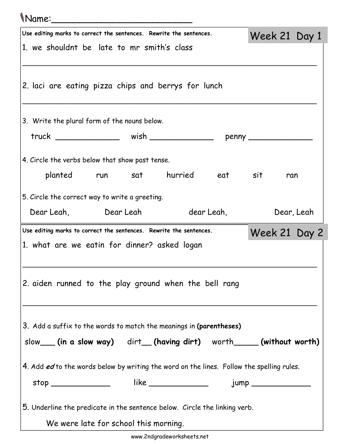## Name:\_\_\_\_\_\_\_\_\_\_\_\_\_\_\_\_\_\_\_\_\_\_\_\_\_

| Use editing marks to correct the sentences. Rewrite the sentences.                        | Week 21 Day 1 |            |
|-------------------------------------------------------------------------------------------|---------------|------------|
| 1. we shouldnt be late to mr smith's class                                                |               |            |
|                                                                                           |               |            |
| 2. laci are eating pizza chips and berrys for lunch                                       |               |            |
|                                                                                           |               |            |
|                                                                                           |               |            |
| 3. Write the plural form of the nouns below.                                              |               |            |
| truck __________________ wish __________________ penny ____________                       |               |            |
| 4. Circle the verbs below that show past tense.                                           |               |            |
| planted run sat hurried eat sit                                                           | ran           |            |
|                                                                                           |               |            |
| 5. Circle the correct way to write a greeting.                                            |               |            |
| Dear Leah, Dear Leah dear Leah,                                                           |               | Dear, Leah |
| Use editing marks to correct the sentences. Rewrite the sentences.                        | Week 21 Day 2 |            |
| 1. what are we eatin for dinner? asked logan                                              |               |            |
|                                                                                           |               |            |
|                                                                                           |               |            |
|                                                                                           |               |            |
| 2. aiden runned to the play ground when the bell rang                                     |               |            |
|                                                                                           |               |            |
|                                                                                           |               |            |
| 3. Add a suffix to the words to match the meanings in (parentheses)                       |               |            |
| slow___(in a slow way) dirt__(having dirt) worth_____(without worth)                      |               |            |
|                                                                                           |               |            |
| 4. Add ed to the words below by writing the word on the lines. Follow the spelling rules. |               |            |
| stop ________________  like ________________  jump _____________________________          |               |            |
| 5. Underline the predicate in the sentence below. Circle the linking verb.                |               |            |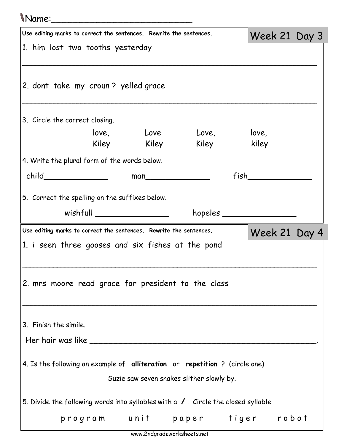| <i>Name</i> :                                                      |                              |             |                                                                                              |                              |  |  |
|--------------------------------------------------------------------|------------------------------|-------------|----------------------------------------------------------------------------------------------|------------------------------|--|--|
| Use editing marks to correct the sentences. Rewrite the sentences. |                              |             |                                                                                              | Week 21 Day 3                |  |  |
| 1. him lost two tooths yesterday                                   |                              |             |                                                                                              |                              |  |  |
| 2. dont take my croun? yelled grace                                |                              |             |                                                                                              |                              |  |  |
| 3. Circle the correct closing.                                     |                              |             |                                                                                              |                              |  |  |
|                                                                    |                              |             | love, Love Love, love,                                                                       |                              |  |  |
|                                                                    |                              | Kiley Kiley |                                                                                              | Kiley kiley                  |  |  |
| 4. Write the plural form of the words below.                       |                              |             |                                                                                              |                              |  |  |
| child________________                                              |                              |             | man                                                                                          | $fish$ and the set of $\sim$ |  |  |
| 5. Correct the spelling on the suffixes below.                     |                              |             |                                                                                              |                              |  |  |
|                                                                    | wishfull ___________________ |             |                                                                                              | $h$ opeles $\_\_$            |  |  |
| Use editing marks to correct the sentences. Rewrite the sentences. |                              |             |                                                                                              | Week 21 Day 4                |  |  |
|                                                                    |                              |             | 1. i seen three gooses and six fishes at the pond                                            |                              |  |  |
|                                                                    |                              |             |                                                                                              |                              |  |  |
| 2. mrs moore read grace for president to the class                 |                              |             |                                                                                              |                              |  |  |
|                                                                    |                              |             |                                                                                              |                              |  |  |
|                                                                    |                              |             |                                                                                              |                              |  |  |
| 3. Finish the simile.                                              |                              |             |                                                                                              |                              |  |  |
| Her hair was like $\_\_$                                           |                              |             |                                                                                              |                              |  |  |
|                                                                    |                              |             |                                                                                              |                              |  |  |
|                                                                    |                              |             | 4. Is the following an example of alliteration or repetition ? (circle one)                  |                              |  |  |
|                                                                    |                              |             | Suzie saw seven snakes slither slowly by.                                                    |                              |  |  |
|                                                                    |                              |             | 5. Divide the following words into syllables with a $\sqrt{ }$ . Circle the closed syllable. |                              |  |  |